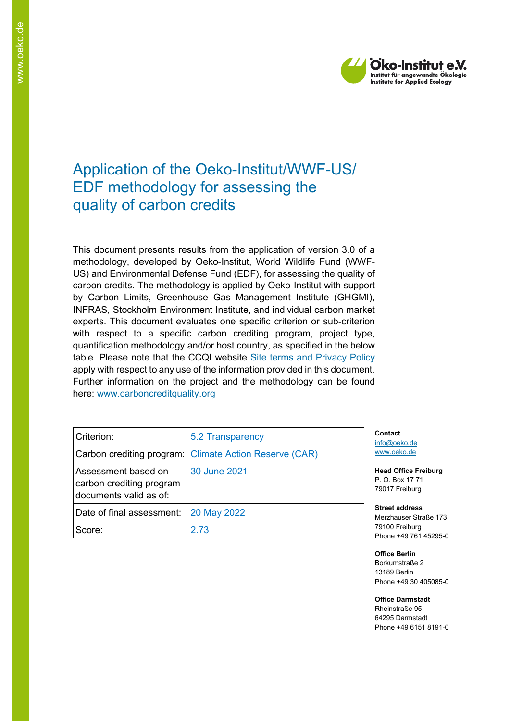

# Application of the Oeko-Institut/WWF-US/ EDF methodology for assessing the quality of carbon credits

This document presents results from the application of version 3.0 of a methodology, developed by Oeko-Institut, World Wildlife Fund (WWF-US) and Environmental Defense Fund (EDF), for assessing the quality of carbon credits. The methodology is applied by Oeko-Institut with support by Carbon Limits, Greenhouse Gas Management Institute (GHGMI), INFRAS, Stockholm Environment Institute, and individual carbon market experts. This document evaluates one specific criterion or sub-criterion with respect to a specific carbon crediting program, project type, quantification methodology and/or host country, as specified in the below table. Please note that the CCQI website [Site terms and Privacy Policy](https://carboncreditquality.org/terms.html) apply with respect to any use of the information provided in this document. Further information on the project and the methodology can be found here: [www.carboncreditquality.org](http://www.carboncreditquality.org/)

| Criterion:                                                                | 5.2 Transparency                                       |
|---------------------------------------------------------------------------|--------------------------------------------------------|
|                                                                           | Carbon crediting program: Climate Action Reserve (CAR) |
| Assessment based on<br>carbon crediting program<br>documents valid as of: | 30 June 2021                                           |
| Date of final assessment:                                                 | <b>20 May 2022</b>                                     |
| Score:                                                                    | 2.73                                                   |

**Contact** [info@oeko.de](mailto:info@oeko.de) [www.oeko.de](http://www.oeko.de/)

**Head Office Freiburg** P. O. Box 17 71 79017 Freiburg

**Street address** Merzhauser Straße 173 79100 Freiburg Phone +49 761 45295-0

**Office Berlin** Borkumstraße 2 13189 Berlin Phone +49 30 405085-0

**Office Darmstadt** Rheinstraße 95 64295 Darmstadt Phone +49 6151 8191-0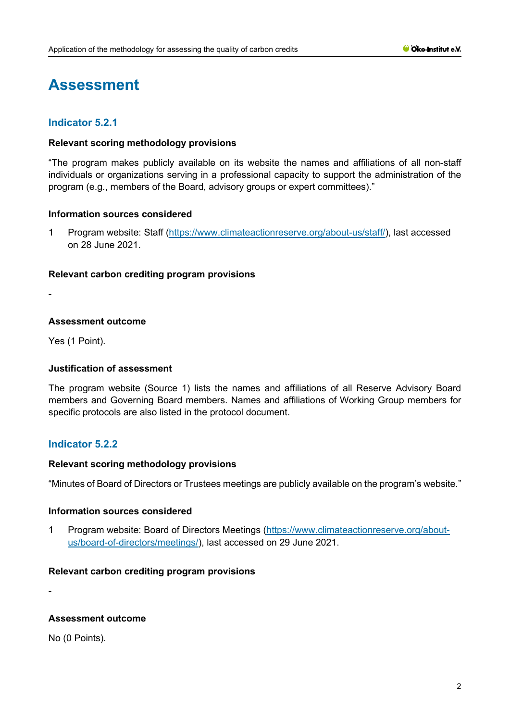# **Assessment**

# **Indicator 5.2.1**

#### **Relevant scoring methodology provisions**

"The program makes publicly available on its website the names and affiliations of all non-staff individuals or organizations serving in a professional capacity to support the administration of the program (e.g., members of the Board, advisory groups or expert committees)."

#### **Information sources considered**

1 Program website: Staff [\(https://www.climateactionreserve.org/about-us/staff/\)](https://www.climateactionreserve.org/about-us/staff/), last accessed on 28 June 2021.

#### **Relevant carbon crediting program provisions**

-

## **Assessment outcome**

Yes (1 Point).

## **Justification of assessment**

The program website (Source 1) lists the names and affiliations of all Reserve Advisory Board members and Governing Board members. Names and affiliations of Working Group members for specific protocols are also listed in the protocol document.

# **Indicator 5.2.2**

#### **Relevant scoring methodology provisions**

"Minutes of Board of Directors or Trustees meetings are publicly available on the program's website."

#### **Information sources considered**

1 Program website: Board of Directors Meetings [\(https://www.climateactionreserve.org/about](https://www.climateactionreserve.org/about-us/board-of-directors/meetings/)[us/board-of-directors/meetings/\)](https://www.climateactionreserve.org/about-us/board-of-directors/meetings/), last accessed on 29 June 2021.

#### **Relevant carbon crediting program provisions**

-

## **Assessment outcome**

No (0 Points).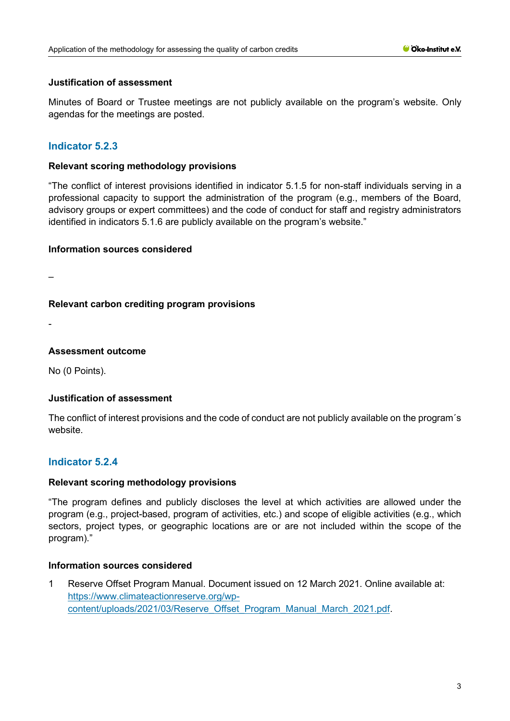#### **Justification of assessment**

Minutes of Board or Trustee meetings are not publicly available on the program's website. Only agendas for the meetings are posted.

# **Indicator 5.2.3**

#### **Relevant scoring methodology provisions**

"The conflict of interest provisions identified in indicator 5.1.5 for non-staff individuals serving in a professional capacity to support the administration of the program (e.g., members of the Board, advisory groups or expert committees) and the code of conduct for staff and registry administrators identified in indicators 5.1.6 are publicly available on the program's website."

#### **Information sources considered**

–

## **Relevant carbon crediting program provisions**

-

## **Assessment outcome**

No (0 Points).

## **Justification of assessment**

The conflict of interest provisions and the code of conduct are not publicly available on the program´s website.

## **Indicator 5.2.4**

#### **Relevant scoring methodology provisions**

"The program defines and publicly discloses the level at which activities are allowed under the program (e.g., project-based, program of activities, etc.) and scope of eligible activities (e.g., which sectors, project types, or geographic locations are or are not included within the scope of the program)."

## **Information sources considered**

1 Reserve Offset Program Manual. Document issued on 12 March 2021. Online available at: [https://www.climateactionreserve.org/wp](https://www.climateactionreserve.org/wp-content/uploads/2021/03/Reserve_Offset_Program_Manual_March_2021.pdf)[content/uploads/2021/03/Reserve\\_Offset\\_Program\\_Manual\\_March\\_2021.pdf.](https://www.climateactionreserve.org/wp-content/uploads/2021/03/Reserve_Offset_Program_Manual_March_2021.pdf)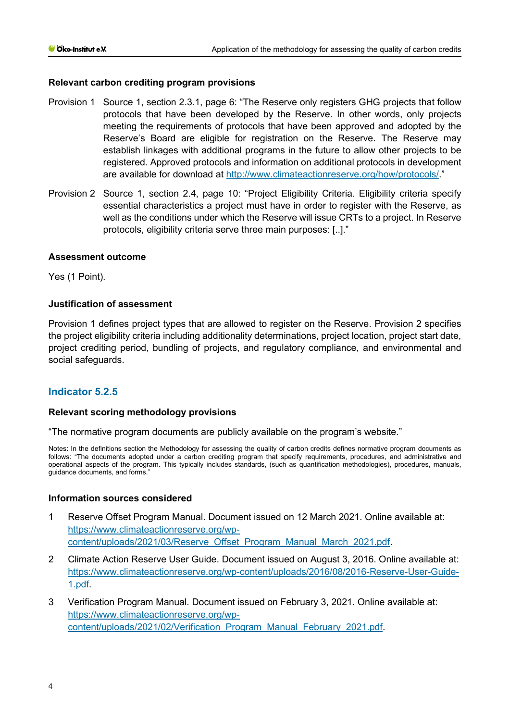## **Relevant carbon crediting program provisions**

- Provision 1 Source 1, section 2.3.1, page 6: "The Reserve only registers GHG projects that follow protocols that have been developed by the Reserve. In other words, only projects meeting the requirements of protocols that have been approved and adopted by the Reserve's Board are eligible for registration on the Reserve. The Reserve may establish linkages with additional programs in the future to allow other projects to be registered. Approved protocols and information on additional protocols in development are available for download at [http://www.climateactionreserve.org/how/protocols/.](http://www.climateactionreserve.org/how/protocols/)"
- Provision 2 Source 1, section 2.4, page 10: "Project Eligibility Criteria. Eligibility criteria specify essential characteristics a project must have in order to register with the Reserve, as well as the conditions under which the Reserve will issue CRTs to a project. In Reserve protocols, eligibility criteria serve three main purposes: [..]."

#### **Assessment outcome**

Yes (1 Point).

#### **Justification of assessment**

Provision 1 defines project types that are allowed to register on the Reserve. Provision 2 specifies the project eligibility criteria including additionality determinations, project location, project start date, project crediting period, bundling of projects, and regulatory compliance, and environmental and social safeguards.

## **Indicator 5.2.5**

#### **Relevant scoring methodology provisions**

"The normative program documents are publicly available on the program's website."

Notes: In the definitions section the Methodology for assessing the quality of carbon credits defines normative program documents as follows: "The documents adopted under a carbon crediting program that specify requirements, procedures, and administrative and operational aspects of the program. This typically includes standards, (such as quantification methodologies), procedures, manuals, guidance documents, and forms."

#### **Information sources considered**

- 1 Reserve Offset Program Manual. Document issued on 12 March 2021. Online available at: [https://www.climateactionreserve.org/wp](https://www.climateactionreserve.org/wp-content/uploads/2021/03/Reserve_Offset_Program_Manual_March_2021.pdf)[content/uploads/2021/03/Reserve\\_Offset\\_Program\\_Manual\\_March\\_2021.pdf.](https://www.climateactionreserve.org/wp-content/uploads/2021/03/Reserve_Offset_Program_Manual_March_2021.pdf)
- 2 Climate Action Reserve User Guide. Document issued on August 3, 2016. Online available at: [https://www.climateactionreserve.org/wp-content/uploads/2016/08/2016-Reserve-User-Guide-](https://www.climateactionreserve.org/wp-content/uploads/2016/08/2016-Reserve-User-Guide-1.pdf)[1.pdf.](https://www.climateactionreserve.org/wp-content/uploads/2016/08/2016-Reserve-User-Guide-1.pdf)
- 3 Verification Program Manual. Document issued on February 3, 2021. Online available at: [https://www.climateactionreserve.org/wp](https://www.climateactionreserve.org/wp-content/uploads/2021/02/Verification_Program_Manual_February_2021.pdf)[content/uploads/2021/02/Verification\\_Program\\_Manual\\_February\\_2021.pdf.](https://www.climateactionreserve.org/wp-content/uploads/2021/02/Verification_Program_Manual_February_2021.pdf)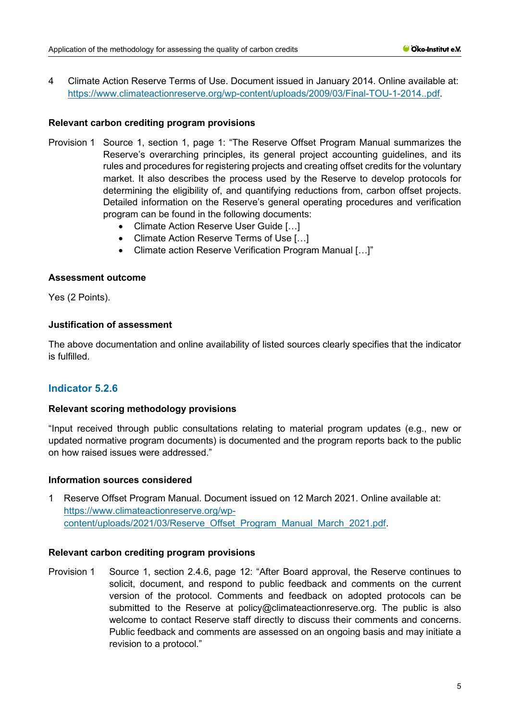4 Climate Action Reserve Terms of Use. Document issued in January 2014. Online available at: [https://www.climateactionreserve.org/wp-content/uploads/2009/03/Final-TOU-1-2014..pdf.](https://www.climateactionreserve.org/wp-content/uploads/2009/03/Final-TOU-1-2014..pdf)

# **Relevant carbon crediting program provisions**

- Provision 1 Source 1, section 1, page 1: "The Reserve Offset Program Manual summarizes the Reserve's overarching principles, its general project accounting guidelines, and its rules and procedures for registering projects and creating offset credits for the voluntary market. It also describes the process used by the Reserve to develop protocols for determining the eligibility of, and quantifying reductions from, carbon offset projects. Detailed information on the Reserve's general operating procedures and verification program can be found in the following documents:
	- Climate Action Reserve User Guide […]
	- Climate Action Reserve Terms of Use […]
	- Climate action Reserve Verification Program Manual […]"

## **Assessment outcome**

Yes (2 Points).

## **Justification of assessment**

The above documentation and online availability of listed sources clearly specifies that the indicator is fulfilled.

# **Indicator 5.2.6**

## **Relevant scoring methodology provisions**

"Input received through public consultations relating to material program updates (e.g., new or updated normative program documents) is documented and the program reports back to the public on how raised issues were addressed."

## **Information sources considered**

1 Reserve Offset Program Manual. Document issued on 12 March 2021. Online available at: [https://www.climateactionreserve.org/wp](https://www.climateactionreserve.org/wp-content/uploads/2021/03/Reserve_Offset_Program_Manual_March_2021.pdf)[content/uploads/2021/03/Reserve\\_Offset\\_Program\\_Manual\\_March\\_2021.pdf.](https://www.climateactionreserve.org/wp-content/uploads/2021/03/Reserve_Offset_Program_Manual_March_2021.pdf)

## **Relevant carbon crediting program provisions**

Provision 1 Source 1, section 2.4.6, page 12: "After Board approval, the Reserve continues to solicit, document, and respond to public feedback and comments on the current version of the protocol. Comments and feedback on adopted protocols can be submitted to the Reserve at policy@climateactionreserve.org. The public is also welcome to contact Reserve staff directly to discuss their comments and concerns. Public feedback and comments are assessed on an ongoing basis and may initiate a revision to a protocol."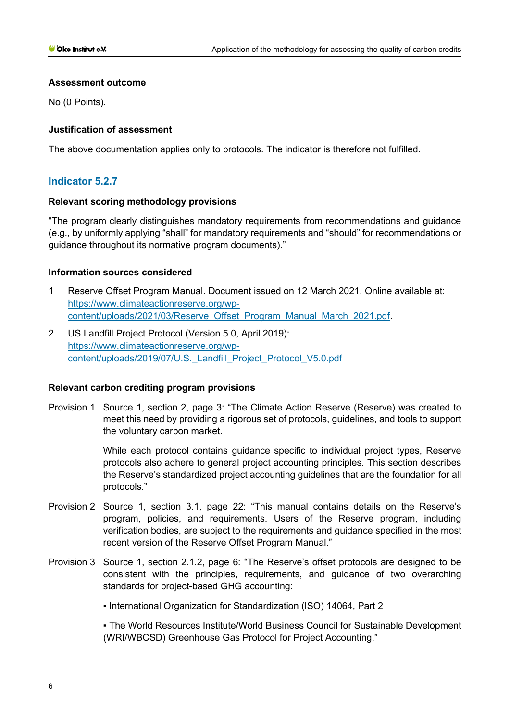#### **Assessment outcome**

No (0 Points).

## **Justification of assessment**

The above documentation applies only to protocols. The indicator is therefore not fulfilled.

# **Indicator 5.2.7**

#### **Relevant scoring methodology provisions**

"The program clearly distinguishes mandatory requirements from recommendations and guidance (e.g., by uniformly applying "shall" for mandatory requirements and "should" for recommendations or guidance throughout its normative program documents)."

## **Information sources considered**

- 1 Reserve Offset Program Manual. Document issued on 12 March 2021. Online available at: [https://www.climateactionreserve.org/wp](https://www.climateactionreserve.org/wp-content/uploads/2021/03/Reserve_Offset_Program_Manual_March_2021.pdf)[content/uploads/2021/03/Reserve\\_Offset\\_Program\\_Manual\\_March\\_2021.pdf.](https://www.climateactionreserve.org/wp-content/uploads/2021/03/Reserve_Offset_Program_Manual_March_2021.pdf)
- 2 US Landfill Project Protocol (Version 5.0, April 2019): [https://www.climateactionreserve.org/wp](https://www.climateactionreserve.org/wp-content/uploads/2019/07/U.S._Landfill_Project_Protocol_V5.0.pdf)content/uploads/2019/07/U.S. Landfill Project Protocol V5.0.pdf

## **Relevant carbon crediting program provisions**

Provision 1 Source 1, section 2, page 3: "The Climate Action Reserve (Reserve) was created to meet this need by providing a rigorous set of protocols, guidelines, and tools to support the voluntary carbon market.

> While each protocol contains guidance specific to individual project types, Reserve protocols also adhere to general project accounting principles. This section describes the Reserve's standardized project accounting guidelines that are the foundation for all protocols."

- Provision 2 Source 1, section 3.1, page 22: "This manual contains details on the Reserve's program, policies, and requirements. Users of the Reserve program, including verification bodies, are subject to the requirements and guidance specified in the most recent version of the Reserve Offset Program Manual."
- Provision 3 Source 1, section 2.1.2, page 6: "The Reserve's offset protocols are designed to be consistent with the principles, requirements, and guidance of two overarching standards for project-based GHG accounting:
	- International Organization for Standardization (ISO) 14064, Part 2

▪ The World Resources Institute/World Business Council for Sustainable Development (WRI/WBCSD) Greenhouse Gas Protocol for Project Accounting."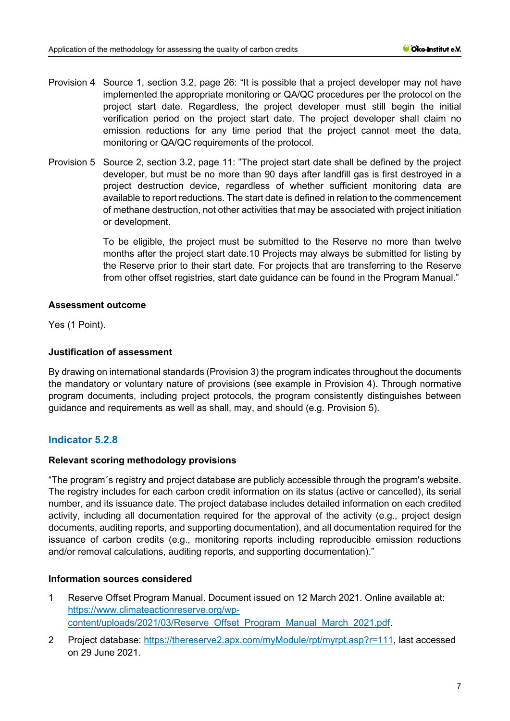- Provision 4 Source 1, section 3.2, page 26: "It is possible that a project developer may not have implemented the appropriate monitoring or QA/QC procedures per the protocol on the project start date. Regardless, the project developer must still begin the initial verification period on the project start date. The project developer shall claim no emission reductions for any time period that the project cannot meet the data, monitoring or QA/QC requirements of the protocol.
- Provision 5 Source 2, section 3.2, page 11: "The project start date shall be defined by the project developer, but must be no more than 90 days after landfill gas is first destroyed in a project destruction device, regardless of whether sufficient monitoring data are available to report reductions. The start date is defined in relation to the commencement of methane destruction, not other activities that may be associated with project initiation or development.

To be eligible, the project must be submitted to the Reserve no more than twelve months after the project start date.10 Projects may always be submitted for listing by the Reserve prior to their start date. For projects that are transferring to the Reserve from other offset registries, start date guidance can be found in the Program Manual."

#### **Assessment outcome**

Yes (1 Point).

## **Justification of assessment**

By drawing on international standards (Provision 3) the program indicates throughout the documents the mandatory or voluntary nature of provisions (see example in Provision 4). Through normative program documents, including project protocols, the program consistently distinguishes between guidance and requirements as well as shall, may, and should (e.g. Provision 5).

# **Indicator 5.2.8**

## **Relevant scoring methodology provisions**

"The program´s registry and project database are publicly accessible through the program's website. The registry includes for each carbon credit information on its status (active or cancelled), its serial number, and its issuance date. The project database includes detailed information on each credited activity, including all documentation required for the approval of the activity (e.g., project design documents, auditing reports, and supporting documentation), and all documentation required for the issuance of carbon credits (e.g., monitoring reports including reproducible emission reductions and/or removal calculations, auditing reports, and supporting documentation)."

## **Information sources considered**

- 1 Reserve Offset Program Manual. Document issued on 12 March 2021. Online available at: [https://www.climateactionreserve.org/wp](https://www.climateactionreserve.org/wp-content/uploads/2021/03/Reserve_Offset_Program_Manual_March_2021.pdf)[content/uploads/2021/03/Reserve\\_Offset\\_Program\\_Manual\\_March\\_2021.pdf.](https://www.climateactionreserve.org/wp-content/uploads/2021/03/Reserve_Offset_Program_Manual_March_2021.pdf)
- 2 Project database: [https://thereserve2.apx.com/myModule/rpt/myrpt.asp?r=111,](https://thereserve2.apx.com/myModule/rpt/myrpt.asp?r=111) last accessed on 29 June 2021.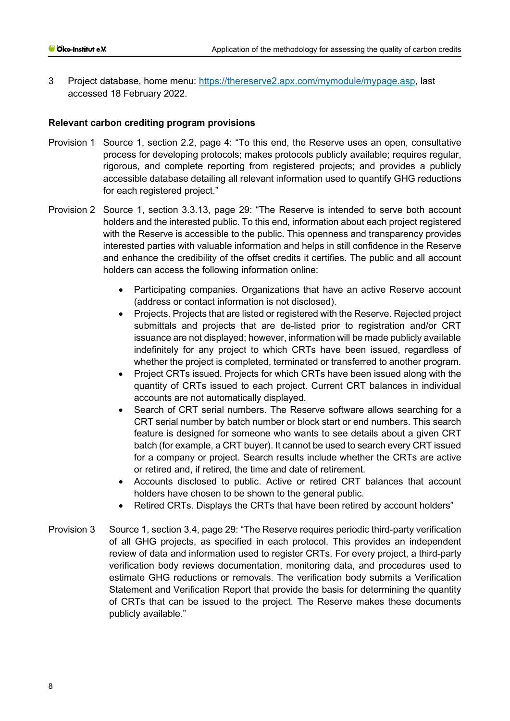3 Project database, home menu: [https://thereserve2.apx.com/mymodule/mypage.asp,](https://thereserve2.apx.com/mymodule/mypage.asp) last accessed 18 February 2022.

#### **Relevant carbon crediting program provisions**

- Provision 1 Source 1, section 2.2, page 4: "To this end, the Reserve uses an open, consultative process for developing protocols; makes protocols publicly available; requires regular, rigorous, and complete reporting from registered projects; and provides a publicly accessible database detailing all relevant information used to quantify GHG reductions for each registered project."
- Provision 2 Source 1, section 3.3.13, page 29: "The Reserve is intended to serve both account holders and the interested public. To this end, information about each project registered with the Reserve is accessible to the public. This openness and transparency provides interested parties with valuable information and helps in still confidence in the Reserve and enhance the credibility of the offset credits it certifies. The public and all account holders can access the following information online:
	- Participating companies. Organizations that have an active Reserve account (address or contact information is not disclosed).
	- Projects. Projects that are listed or registered with the Reserve. Rejected project submittals and projects that are de-listed prior to registration and/or CRT issuance are not displayed; however, information will be made publicly available indefinitely for any project to which CRTs have been issued, regardless of whether the project is completed, terminated or transferred to another program.
	- Project CRTs issued. Projects for which CRTs have been issued along with the quantity of CRTs issued to each project. Current CRT balances in individual accounts are not automatically displayed.
	- Search of CRT serial numbers. The Reserve software allows searching for a CRT serial number by batch number or block start or end numbers. This search feature is designed for someone who wants to see details about a given CRT batch (for example, a CRT buyer). It cannot be used to search every CRT issued for a company or project. Search results include whether the CRTs are active or retired and, if retired, the time and date of retirement.
	- Accounts disclosed to public. Active or retired CRT balances that account holders have chosen to be shown to the general public.
	- Retired CRTs. Displays the CRTs that have been retired by account holders"
- Provision 3 Source 1, section 3.4, page 29: "The Reserve requires periodic third-party verification of all GHG projects, as specified in each protocol. This provides an independent review of data and information used to register CRTs. For every project, a third-party verification body reviews documentation, monitoring data, and procedures used to estimate GHG reductions or removals. The verification body submits a Verification Statement and Verification Report that provide the basis for determining the quantity of CRTs that can be issued to the project. The Reserve makes these documents publicly available."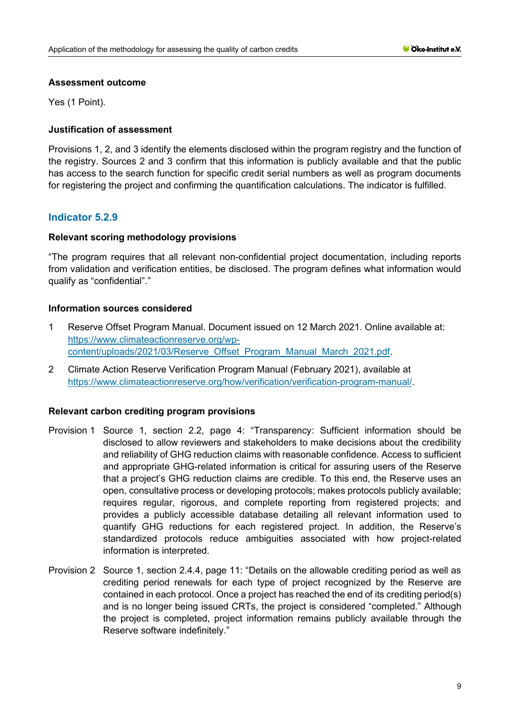#### **Assessment outcome**

Yes (1 Point).

## **Justification of assessment**

Provisions 1, 2, and 3 identify the elements disclosed within the program registry and the function of the registry. Sources 2 and 3 confirm that this information is publicly available and that the public has access to the search function for specific credit serial numbers as well as program documents for registering the project and confirming the quantification calculations. The indicator is fulfilled.

## **Indicator 5.2.9**

## **Relevant scoring methodology provisions**

"The program requires that all relevant non-confidential project documentation, including reports from validation and verification entities, be disclosed. The program defines what information would qualify as "confidential"."

#### **Information sources considered**

- 1 Reserve Offset Program Manual. Document issued on 12 March 2021. Online available at: [https://www.climateactionreserve.org/wp](https://www.climateactionreserve.org/wp-content/uploads/2021/03/Reserve_Offset_Program_Manual_March_2021.pdf)[content/uploads/2021/03/Reserve\\_Offset\\_Program\\_Manual\\_March\\_2021.pdf.](https://www.climateactionreserve.org/wp-content/uploads/2021/03/Reserve_Offset_Program_Manual_March_2021.pdf)
- 2 Climate Action Reserve Verification Program Manual (February 2021), available at https://www.climateactionreserve.org/how/verification/verification-program-manual/.

## **Relevant carbon crediting program provisions**

- Provision 1 Source 1, section 2.2, page 4: "Transparency: Sufficient information should be disclosed to allow reviewers and stakeholders to make decisions about the credibility and reliability of GHG reduction claims with reasonable confidence. Access to sufficient and appropriate GHG-related information is critical for assuring users of the Reserve that a project's GHG reduction claims are credible. To this end, the Reserve uses an open, consultative process or developing protocols; makes protocols publicly available; requires regular, rigorous, and complete reporting from registered projects; and provides a publicly accessible database detailing all relevant information used to quantify GHG reductions for each registered project. In addition, the Reserve's standardized protocols reduce ambiguities associated with how project-related information is interpreted.
- Provision 2 Source 1, section 2.4.4, page 11: "Details on the allowable crediting period as well as crediting period renewals for each type of project recognized by the Reserve are contained in each protocol. Once a project has reached the end of its crediting period(s) and is no longer being issued CRTs, the project is considered "completed." Although the project is completed, project information remains publicly available through the Reserve software indefinitely."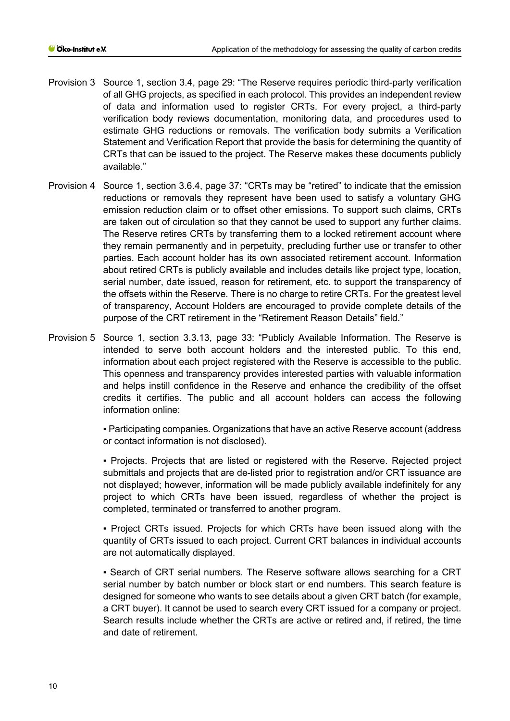- Provision 3 Source 1, section 3.4, page 29: "The Reserve requires periodic third-party verification of all GHG projects, as specified in each protocol. This provides an independent review of data and information used to register CRTs. For every project, a third-party verification body reviews documentation, monitoring data, and procedures used to estimate GHG reductions or removals. The verification body submits a Verification Statement and Verification Report that provide the basis for determining the quantity of CRTs that can be issued to the project. The Reserve makes these documents publicly available."
- Provision 4 Source 1, section 3.6.4, page 37: "CRTs may be "retired" to indicate that the emission reductions or removals they represent have been used to satisfy a voluntary GHG emission reduction claim or to offset other emissions. To support such claims, CRTs are taken out of circulation so that they cannot be used to support any further claims. The Reserve retires CRTs by transferring them to a locked retirement account where they remain permanently and in perpetuity, precluding further use or transfer to other parties. Each account holder has its own associated retirement account. Information about retired CRTs is publicly available and includes details like project type, location, serial number, date issued, reason for retirement, etc. to support the transparency of the offsets within the Reserve. There is no charge to retire CRTs. For the greatest level of transparency, Account Holders are encouraged to provide complete details of the purpose of the CRT retirement in the "Retirement Reason Details" field."
- Provision 5 Source 1, section 3.3.13, page 33: "Publicly Available Information. The Reserve is intended to serve both account holders and the interested public. To this end, information about each project registered with the Reserve is accessible to the public. This openness and transparency provides interested parties with valuable information and helps instill confidence in the Reserve and enhance the credibility of the offset credits it certifies. The public and all account holders can access the following information online:

▪ Participating companies. Organizations that have an active Reserve account (address or contact information is not disclosed).

▪ Projects. Projects that are listed or registered with the Reserve. Rejected project submittals and projects that are de-listed prior to registration and/or CRT issuance are not displayed; however, information will be made publicly available indefinitely for any project to which CRTs have been issued, regardless of whether the project is completed, terminated or transferred to another program.

▪ Project CRTs issued. Projects for which CRTs have been issued along with the quantity of CRTs issued to each project. Current CRT balances in individual accounts are not automatically displayed.

▪ Search of CRT serial numbers. The Reserve software allows searching for a CRT serial number by batch number or block start or end numbers. This search feature is designed for someone who wants to see details about a given CRT batch (for example, a CRT buyer). It cannot be used to search every CRT issued for a company or project. Search results include whether the CRTs are active or retired and, if retired, the time and date of retirement.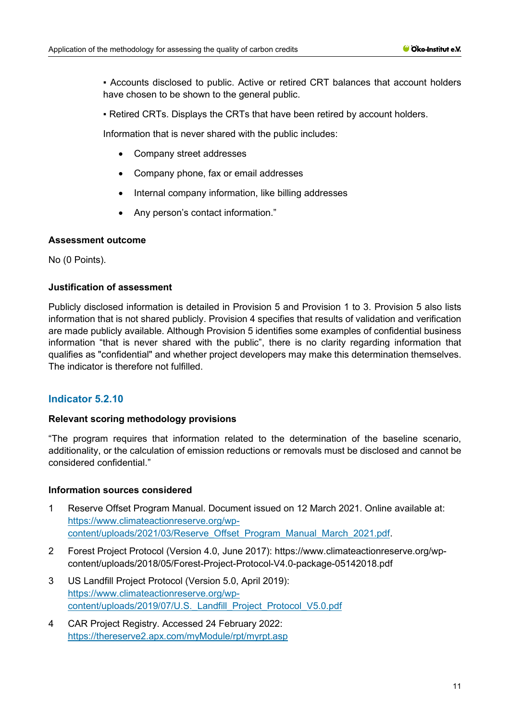▪ Accounts disclosed to public. Active or retired CRT balances that account holders have chosen to be shown to the general public.

▪ Retired CRTs. Displays the CRTs that have been retired by account holders.

Information that is never shared with the public includes:

- Company street addresses
- Company phone, fax or email addresses
- Internal company information, like billing addresses
- Any person's contact information."

#### **Assessment outcome**

No (0 Points).

# **Justification of assessment**

Publicly disclosed information is detailed in Provision 5 and Provision 1 to 3. Provision 5 also lists information that is not shared publicly. Provision 4 specifies that results of validation and verification are made publicly available. Although Provision 5 identifies some examples of confidential business information "that is never shared with the public", there is no clarity regarding information that qualifies as "confidential" and whether project developers may make this determination themselves. The indicator is therefore not fulfilled.

# **Indicator 5.2.10**

#### **Relevant scoring methodology provisions**

"The program requires that information related to the determination of the baseline scenario, additionality, or the calculation of emission reductions or removals must be disclosed and cannot be considered confidential."

#### **Information sources considered**

- 1 Reserve Offset Program Manual. Document issued on 12 March 2021. Online available at: [https://www.climateactionreserve.org/wp](https://www.climateactionreserve.org/wp-content/uploads/2021/03/Reserve_Offset_Program_Manual_March_2021.pdf)[content/uploads/2021/03/Reserve\\_Offset\\_Program\\_Manual\\_March\\_2021.pdf.](https://www.climateactionreserve.org/wp-content/uploads/2021/03/Reserve_Offset_Program_Manual_March_2021.pdf)
- 2 Forest Project Protocol (Version 4.0, June 2017): https://www.climateactionreserve.org/wpcontent/uploads/2018/05/Forest-Project-Protocol-V4.0-package-05142018.pdf
- 3 US Landfill Project Protocol (Version 5.0, April 2019): [https://www.climateactionreserve.org/wp](https://www.climateactionreserve.org/wp-content/uploads/2019/07/U.S._Landfill_Project_Protocol_V5.0.pdf)[content/uploads/2019/07/U.S.\\_Landfill\\_Project\\_Protocol\\_V5.0.pdf](https://www.climateactionreserve.org/wp-content/uploads/2019/07/U.S._Landfill_Project_Protocol_V5.0.pdf)
- 4 CAR Project Registry. Accessed 24 February 2022: <https://thereserve2.apx.com/myModule/rpt/myrpt.asp>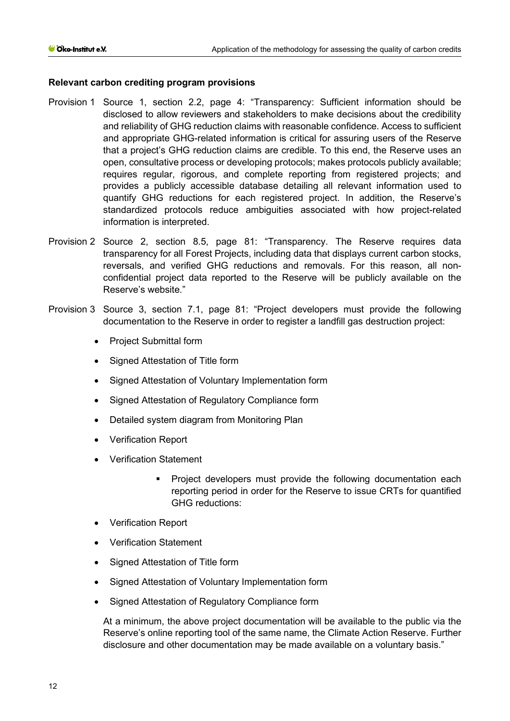## **Relevant carbon crediting program provisions**

- Provision 1 Source 1, section 2.2, page 4: "Transparency: Sufficient information should be disclosed to allow reviewers and stakeholders to make decisions about the credibility and reliability of GHG reduction claims with reasonable confidence. Access to sufficient and appropriate GHG-related information is critical for assuring users of the Reserve that a project's GHG reduction claims are credible. To this end, the Reserve uses an open, consultative process or developing protocols; makes protocols publicly available; requires regular, rigorous, and complete reporting from registered projects; and provides a publicly accessible database detailing all relevant information used to quantify GHG reductions for each registered project. In addition, the Reserve's standardized protocols reduce ambiguities associated with how project-related information is interpreted.
- Provision 2 Source 2, section 8.5, page 81: "Transparency. The Reserve requires data transparency for all Forest Projects, including data that displays current carbon stocks, reversals, and verified GHG reductions and removals. For this reason, all nonconfidential project data reported to the Reserve will be publicly available on the Reserve's website."
- Provision 3 Source 3, section 7.1, page 81: "Project developers must provide the following documentation to the Reserve in order to register a landfill gas destruction project:
	- Project Submittal form
	- Signed Attestation of Title form
	- Signed Attestation of Voluntary Implementation form
	- Signed Attestation of Regulatory Compliance form
	- Detailed system diagram from Monitoring Plan
	- Verification Report
	- Verification Statement
		- Project developers must provide the following documentation each reporting period in order for the Reserve to issue CRTs for quantified GHG reductions:
	- Verification Report
	- Verification Statement
	- Signed Attestation of Title form
	- Signed Attestation of Voluntary Implementation form
	- Signed Attestation of Regulatory Compliance form

At a minimum, the above project documentation will be available to the public via the Reserve's online reporting tool of the same name, the Climate Action Reserve. Further disclosure and other documentation may be made available on a voluntary basis."